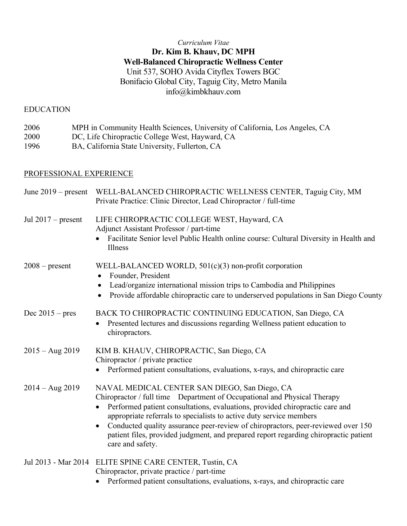# *Curriculum Vitae* **Dr. Kim B. Khauv, DC MPH Well-Balanced Chiropractic Wellness Center** Unit 537, SOHO Avida Cityflex Towers BGC Bonifacio Global City, Taguig City, Metro Manila info@kimbkhauv.com

### EDUCATION

| 2006 | MPH in Community Health Sciences, University of California, Los Angeles, CA |
|------|-----------------------------------------------------------------------------|
| 2000 | DC, Life Chiropractic College West, Hayward, CA                             |
| 1996 | BA, California State University, Fullerton, CA                              |

# PROFESSIONAL EXPERIENCE

| June $2019$ – present | WELL-BALANCED CHIROPRACTIC WELLNESS CENTER, Taguig City, MM<br>Private Practice: Clinic Director, Lead Chiropractor / full-time                                                                                                                                                                                                                                                                                                                                                  |
|-----------------------|----------------------------------------------------------------------------------------------------------------------------------------------------------------------------------------------------------------------------------------------------------------------------------------------------------------------------------------------------------------------------------------------------------------------------------------------------------------------------------|
| Jul $2017$ – present  | LIFE CHIROPRACTIC COLLEGE WEST, Hayward, CA<br>Adjunct Assistant Professor / part-time<br>Facilitate Senior level Public Health online course: Cultural Diversity in Health and<br>Illness                                                                                                                                                                                                                                                                                       |
| $2008$ – present      | WELL-BALANCED WORLD, $501(c)(3)$ non-profit corporation<br>Founder, President<br>Lead/organize international mission trips to Cambodia and Philippines<br>$\bullet$<br>Provide affordable chiropractic care to underserved populations in San Diego County                                                                                                                                                                                                                       |
| Dec $2015 - pres$     | BACK TO CHIROPRACTIC CONTINUING EDUCATION, San Diego, CA<br>Presented lectures and discussions regarding Wellness patient education to<br>chiropractors.                                                                                                                                                                                                                                                                                                                         |
| $2015 - Aug~2019$     | KIM B. KHAUV, CHIROPRACTIC, San Diego, CA<br>Chiropractor / private practice<br>Performed patient consultations, evaluations, x-rays, and chiropractic care                                                                                                                                                                                                                                                                                                                      |
| $2014 - Aug~2019$     | NAVAL MEDICAL CENTER SAN DIEGO, San Diego, CA<br>Chiropractor / full time Department of Occupational and Physical Therapy<br>Performed patient consultations, evaluations, provided chiropractic care and<br>appropriate referrals to specialists to active duty service members<br>Conducted quality assurance peer-review of chiropractors, peer-reviewed over 150<br>patient files, provided judgment, and prepared report regarding chiropractic patient<br>care and safety. |
|                       | Jul 2013 - Mar 2014 ELITE SPINE CARE CENTER, Tustin, CA<br>Chiropractor, private practice / part-time<br>• Performed patient consultations, evaluations, x-rays, and chiropractic care                                                                                                                                                                                                                                                                                           |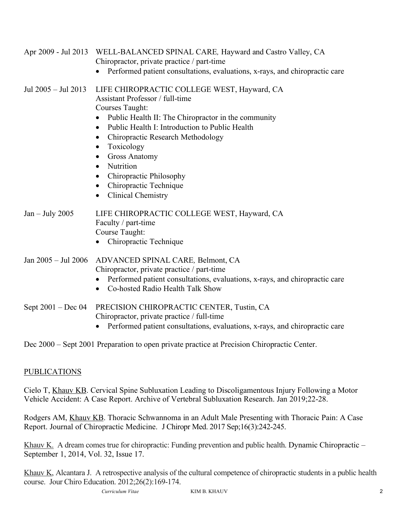| Apr 2009 - Jul 2013     | WELL-BALANCED SPINAL CARE, Hayward and Castro Valley, CA<br>Chiropractor, private practice / part-time<br>Performed patient consultations, evaluations, x-rays, and chiropractic care                                                                                                                                                                                                                                                                                                              |
|-------------------------|----------------------------------------------------------------------------------------------------------------------------------------------------------------------------------------------------------------------------------------------------------------------------------------------------------------------------------------------------------------------------------------------------------------------------------------------------------------------------------------------------|
| Jul $2005 -$ Jul $2013$ | LIFE CHIROPRACTIC COLLEGE WEST, Hayward, CA<br>Assistant Professor / full-time<br>Courses Taught:<br>Public Health II: The Chiropractor in the community<br>$\bullet$<br>Public Health I: Introduction to Public Health<br>$\bullet$<br>Chiropractic Research Methodology<br>$\bullet$<br>Toxicology<br>$\bullet$<br><b>Gross Anatomy</b><br>$\bullet$<br>Nutrition<br>$\bullet$<br>Chiropractic Philosophy<br>$\bullet$<br>Chiropractic Technique<br>$\bullet$<br>Clinical Chemistry<br>$\bullet$ |
| $Jan - July 2005$       | LIFE CHIROPRACTIC COLLEGE WEST, Hayward, CA<br>Faculty / part-time<br>Course Taught:<br>Chiropractic Technique                                                                                                                                                                                                                                                                                                                                                                                     |
| Jan 2005 - Jul 2006     | ADVANCED SPINAL CARE, Belmont, CA<br>Chiropractor, private practice / part-time<br>Performed patient consultations, evaluations, x-rays, and chiropractic care<br>$\bullet$<br>Co-hosted Radio Health Talk Show<br>$\bullet$                                                                                                                                                                                                                                                                       |
| Sept $2001 - Dec 04$    | PRECISION CHIROPRACTIC CENTER, Tustin, CA<br>Chiropractor, private practice / full-time<br>Performed patient consultations, evaluations, x-rays, and chiropractic care                                                                                                                                                                                                                                                                                                                             |

Dec 2000 – Sept 2001 Preparation to open private practice at Precision Chiropractic Center.

# PUBLICATIONS

Cielo T, Khauv KB. Cervical Spine Subluxation Leading to Discoligamentous Injury Following a Motor Vehicle Accident: A Case Report. Archive of Vertebral Subluxation Research. Jan 2019;22-28.

Rodgers AM, Khauv KB. Thoracic Schwannoma in an Adult Male Presenting with Thoracic Pain: A Case Report. Journal of Chiropractic Medicine. J Chiropr Med. 2017 Sep;16(3):242-245.

Khauv K. A dream comes true for chiropractic: Funding prevention and public health. Dynamic Chiropractic – September 1, 2014, Vol. 32, Issue 17.

Khauv K, Alcantara J. A retrospective analysis of the cultural competence of chiropractic students in a public health course. Jour Chiro Education. 2012;26(2):169-174.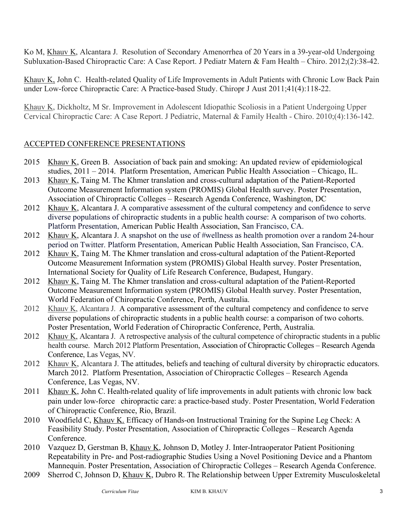Ko M, Khauv K, Alcantara J. Resolution of Secondary Amenorrhea of 20 Years in a 39-year-old Undergoing Subluxation-Based Chiropractic Care: A Case Report. J Pediatr Matern & Fam Health – Chiro. 2012;(2):38-42.

Khauv K, John C. Health-related Quality of Life Improvements in Adult Patients with Chronic Low Back Pain under Low-force Chiropractic Care: A Practice-based Study. Chiropr J Aust 2011;41(4):118-22.

Khauv K, Dickholtz, M Sr. Improvement in Adolescent Idiopathic Scoliosis in a Patient Undergoing Upper Cervical Chiropractic Care: A Case Report. J Pediatric, Maternal & Family Health - Chiro. 2010;(4):136-142.

## ACCEPTED CONFERENCE PRESENTATIONS

- 2015 Khauv K, Green B. Association of back pain and smoking: An updated review of epidemiological studies, 2011 – 2014. Platform Presentation, American Public Health Association – Chicago, IL.
- 2013 Khauv K, Taing M. The Khmer translation and cross-cultural adaptation of the Patient-Reported Outcome Measurement Information system (PROMIS) Global Health survey. Poster Presentation, Association of Chiropractic Colleges – Research Agenda Conference, Washington, DC
- 2012 Khauv K, Alcantara J. A comparative assessment of the cultural competency and confidence to serve diverse populations of chiropractic students in a public health course: A comparison of two cohorts. Platform Presentation, American Public Health Association, San Francisco, CA.
- 2012 Khauv K, Alcantara J. A snapshot on the use of #wellness as health promotion over a random 24-hour period on Twitter. Platform Presentation, American Public Health Association, San Francisco, CA.
- 2012 Khauv K, Taing M. The Khmer translation and cross-cultural adaptation of the Patient-Reported Outcome Measurement Information system (PROMIS) Global Health survey. Poster Presentation, International Society for Quality of Life Research Conference, Budapest, Hungary.
- 2012 Khauv K, Taing M. The Khmer translation and cross-cultural adaptation of the Patient-Reported Outcome Measurement Information system (PROMIS) Global Health survey. Poster Presentation, World Federation of Chiropractic Conference, Perth, Australia.
- 2012 Khauv K, Alcantara J. A comparative assessment of the cultural competency and confidence to serve diverse populations of chiropractic students in a public health course: a comparison of two cohorts. Poster Presentation, World Federation of Chiropractic Conference, Perth, Australia.
- 2012 Khauv K, Alcantara J. A retrospective analysis of the cultural competence of chiropractic students in a public health course. March 2012 Platform Presentation, Association of Chiropractic Colleges – Research Agenda Conference, Las Vegas, NV.
- 2012 Khauv K, Alcantara J. The attitudes, beliefs and teaching of cultural diversity by chiropractic educators. March 2012. Platform Presentation, Association of Chiropractic Colleges – Research Agenda Conference, Las Vegas, NV.
- 2011 Khauv K, John C. Health-related quality of life improvements in adult patients with chronic low back pain under low-force chiropractic care: a practice-based study. Poster Presentation, World Federation of Chiropractic Conference, Rio, Brazil.
- 2010 Woodfield C, Khauv K. Efficacy of Hands-on Instructional Training for the Supine Leg Check: A Feasibility Study. Poster Presentation, Association of Chiropractic Colleges – Research Agenda Conference.
- 2010 Vazquez D, Gerstman B, Khauv K, Johnson D, Motley J. Inter-Intraoperator Patient Positioning Repeatability in Pre- and Post-radiographic Studies Using a Novel Positioning Device and a Phantom Mannequin. Poster Presentation, Association of Chiropractic Colleges – Research Agenda Conference.
- 2009 Sherrod C, Johnson D, Khauv K, Dubro R. The Relationship between Upper Extremity Musculoskeletal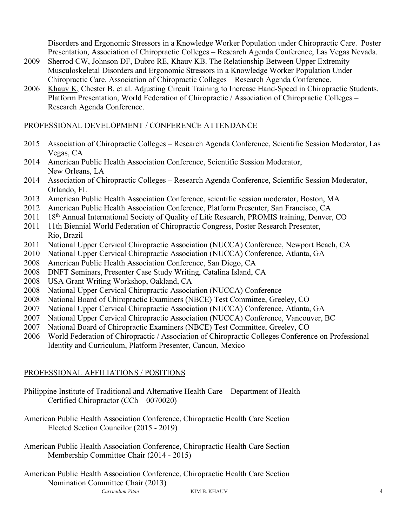Disorders and Ergonomic Stressors in a Knowledge Worker Population under Chiropractic Care. Poster Presentation, Association of Chiropractic Colleges – Research Agenda Conference, Las Vegas Nevada.

- 2009 Sherrod CW, Johnson DF, Dubro RE, Khauv KB. The Relationship Between Upper Extremity Musculoskeletal Disorders and Ergonomic Stressors in a Knowledge Worker Population Under Chiropractic Care. Association of Chiropractic Colleges – Research Agenda Conference.
- 2006 Khauv K, Chester B, et al. Adjusting Circuit Training to Increase Hand-Speed in Chiropractic Students. Platform Presentation, World Federation of Chiropractic / Association of Chiropractic Colleges – Research Agenda Conference.

#### PROFESSIONAL DEVELOPMENT / CONFERENCE ATTENDANCE

- 2015 Association of Chiropractic Colleges Research Agenda Conference, Scientific Session Moderator, Las Vegas, CA
- 2014 American Public Health Association Conference, Scientific Session Moderator, New Orleans, LA
- 2014 Association of Chiropractic Colleges Research Agenda Conference, Scientific Session Moderator, Orlando, FL
- 2013 American Public Health Association Conference, scientific session moderator, Boston, MA
- 2012 American Public Health Association Conference, Platform Presenter, San Francisco, CA
- 2011 18<sup>th</sup> Annual International Society of Quality of Life Research, PROMIS training, Denver, CO
- 2011 11th Biennial World Federation of Chiropractic Congress, Poster Research Presenter, Rio, Brazil
- 2011 National Upper Cervical Chiropractic Association (NUCCA) Conference, Newport Beach, CA
- 2010 National Upper Cervical Chiropractic Association (NUCCA) Conference, Atlanta, GA
- 2008 American Public Health Association Conference, San Diego, CA
- 2008 DNFT Seminars, Presenter Case Study Writing, Catalina Island, CA
- 2008 USA Grant Writing Workshop, Oakland, CA
- 2008 National Upper Cervical Chiropractic Association (NUCCA) Conference
- 2008 National Board of Chiropractic Examiners (NBCE) Test Committee, Greeley, CO
- 2007 National Upper Cervical Chiropractic Association (NUCCA) Conference, Atlanta, GA
- 2007 National Upper Cervical Chiropractic Association (NUCCA) Conference, Vancouver, BC
- 2007 National Board of Chiropractic Examiners (NBCE) Test Committee, Greeley, CO
- 2006 World Federation of Chiropractic / Association of Chiropractic Colleges Conference on Professional Identity and Curriculum, Platform Presenter, Cancun, Mexico

#### PROFESSIONAL AFFILIATIONS / POSITIONS

- Philippine Institute of Traditional and Alternative Health Care Department of Health Certified Chiropractor (CCh – 0070020)
- American Public Health Association Conference, Chiropractic Health Care Section Elected Section Councilor (2015 - 2019)
- American Public Health Association Conference, Chiropractic Health Care Section Membership Committee Chair (2014 - 2015)
- *Curriculum Vitae* KIM B. KHAUV 4 American Public Health Association Conference, Chiropractic Health Care Section Nomination Committee Chair (2013)